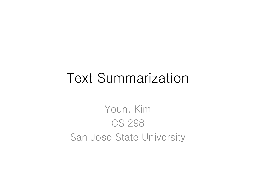# Text Summarization

Youn, Kim CS 298 San Jose State University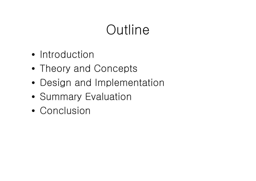# **Outline**

- Introduction
- Theory and Concepts
- Design and Implementation
- Summary Evaluation
- Conclusion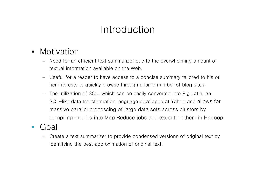# Introduction

- Motivation
	- Need for an efficient text summarizer due to the overwhelming amount of textual information available on the Web.
	- Useful for a reader to have access to a concise summary tailored to his or her interests to quickly browse through a large number of blog sites.
	- The utilization of SQL, which can be easily converted into Pig Latin, an SQL-like data transformation language developed at Yahoo and allows for massive parallel processing of large data sets across clusters by compiling queries into Map Reduce jobs and executing them in Hadoop.
- Goal
	- Create a text summarizer to provide condensed versions of original text by identifying the best approximation of original text.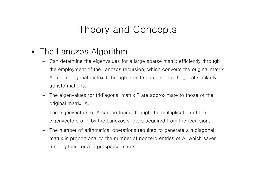#### Theory and Concepts

- The Lanczos Algorithm
	- Can determine the eigenvalues for a large sparse matrix efficiently through the employment of the Lanczos recursion, which converts the original matrix A into tridiagonal matrix T through a finite number of orthogonal similarity transformations.
	- The eigenvalues for tridiagonal matrix T are approximate to those of the original matrix, A.
	- The eigenvectors of A can be found through the multiplication of the eigenvectors of T by the Lanczos vectors acquired from the recursion.
	- The number of arithmetical operations required to generate a tridiagonal matrix is proportional to the number of nonzero entries of A, which saves running time for a large sparse matrix.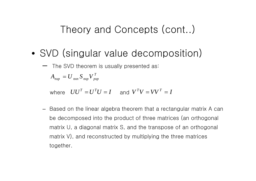### Theory and Concepts (cont..)

- SVD (singular value decomposition)
	- The SVD theorem is usually presented as:

 $A_{_{\mathit{n\mathit{xp}}}} = U_{_{\mathit{n\mathit{xn}}}} S_{_{\mathit{n\mathit{xp}}}} V_{_{\mathit{p\mathit{xp}}}}^{^{\mathit{T}}}$ 

where  $UU^T = U^TU = I$  and  $V^TV = VV^T = I$ 

– Based on the linear algebra theorem that a rectangular matrix A can be decomposed into the product of three matrices (an orthogonal matrix U, a diagonal matrix S, and the transpose of an orthogonal matrix V), and reconstructed by multiplying the three matrices together.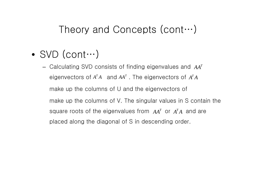#### Theory and Concepts (cont…)

- SVD (cont $\cdots$ )
	- Calculating SVD consists of finding eigenvalues and  $AA^T$ eigenvectors of  $A^T A$  and  $A A^T$ . The eigenvectors of  $A^T A$ make up the columns of U and the eigenvectors of make up the columns of V. The singular values in S contain the square roots of the eigenvalues from  $AA<sup>T</sup>$  or  $A<sup>T</sup>A$  and are placed along the diagonal of S in descending order.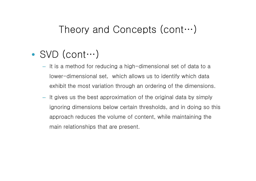#### Theory and Concepts (cont…)

# • SVD (cont…)

- It is a method for reducing a high-dimensional set of data to a lower-dimensional set, which allows us to identify which data exhibit the most variation through an ordering of the dimensions.
- It gives us the best approximation of the original data by simply ignoring dimensions below certain thresholds, and in doing so this approach reduces the volume of content, while maintaining the main relationships that are present.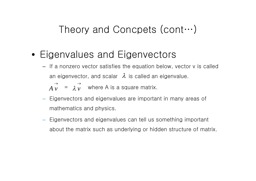# Theory and Concpets (cont…)

- Eigenvalues and Eigenvectors
	- If a nonzero vector satisfies the equation below, vector v is called an eigenvector, and scalar  $\lambda$  is called an eigenvalue.
		- $=$   $\lambda v$  where A is a square matrix.  $\rightarrow$ *vA*  $\rightarrow$  $\lambda v$
	- Eigenvectors and eigenvalues are important in many areas of mathematics and physics.
	- Eigenvectors and eigenvalues can tell us something important about the matrix such as underlying or hidden structure of matrix.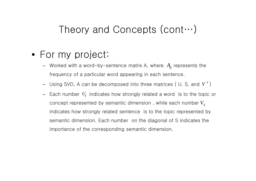#### Theory and Concepts (cont…)

- For my project:
	- Worked with a word-by-sentence matrix A, where  $A_{\!i\!j}$  represents the frequency of a particular word appearing in each sentence.
	- Using SVD, A can be decomposed into three matrices ( U, S, and  $V^{T})$
	- $-$  Each number  $U_{ij}$  indicates how strongly related a word  $\,$  is to the topic or concept represented by semantic dimension , while each number *Vij*indicates how strongly related sentence is to the topic represented by semantic dimension. Each number on the diagonal of S indicates the importance of the corresponding semantic dimension.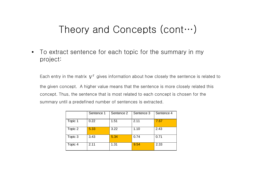# Theory and Concepts (cont…)

• To extract sentence for each topic for the summary in my project:

Each entry in the matrix  $\boldsymbol{V}^T$  gives information about how closely the sentence is related to the given concept. A higher value means that the sentence is more closely related this concept. Thus, the sentence that is most related to each concept is chosen for the summary until a predefined number of sentences is extracted.

|         | Sentence 1 | Sentence 2 | Sentence 3 | Sentence 4 |
|---------|------------|------------|------------|------------|
| Topic 1 | 0.22       | 1.51       | 2.11       | 7.67       |
| Topic 2 | 5.33       | 3.22       | 1.10       | 2.43       |
| Topic 3 | 3.43       | 5.34       | 0.74       | 0.71       |
| Topic 4 | 2.11       | 1.31       | 9.54       | 2.33       |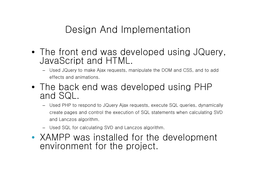### Design And Implementation

- The front end was developed using JQuery, JavaScript and HTML.
	- Used JQuery to make Ajax requests, manipulate the DOM and CSS, and to add effects and animations.
- The back end was developed using PHP and SQL.
	- Used PHP to respond to JQuery Ajax requests, execute SQL queries, dynamically create pages and control the execution of SQL statements when calculating SVD and Lanczos algorithm.
	- Used SQL for calculating SVD and Lanczos algorithm.
- XAMPP was installed for the development environment for the project.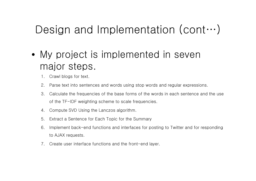# Design and Implementation (cont…)

- My project is implemented in seven major steps.
	- 1. Crawl blogs for text.
	- 2. Parse text into sentences and words using stop words and regular expressions.
	- 3. Calculate the frequencies of the base forms of the words in each sentence and the use of the TF-IDF weighting scheme to scale frequencies.
	- 4. Compute SVD Using the Lanczos algorithm.
	- 5. Extract a Sentence for Each Topic for the Summary
	- 6. Implement back-end functions and interfaces for posting to Twitter and for responding to AJAX requests.
	- 7. Create user interface functions and the front-end layer.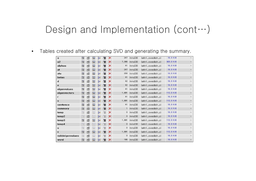# Design and Implementation (cont…)

• Tables created after calculating SVD and generating the summary.

| a                 | E         | 窗 | 匷  | झ  | 面 | x | 247          | InnoDB        | latin1_swedish_ci | 16.0 KiB  | ÷.                       |
|-------------------|-----------|---|----|----|---|---|--------------|---------------|-------------------|-----------|--------------------------|
| a2                | E         | 窗 | 磨  | 목수 | 而 | × | 7,380        | InnoDB        | latin1_swedish_ci | 320,0 KiB | m.                       |
| alphas            | 眉         | 窗 | 腘  | झ  | 面 | × | 41           | <b>InnoDB</b> | latin1_swedish_ci | 16,0 KiB  | -                        |
| at                | ⊫         | 窗 | 摩  | 말리 | 而 | × | 247          | InnoDB        | latin1_swedish_ci | 16.0 KiB  | B.                       |
| ata               | le        | é | P  | 과  | m | x | 259          | InnoDB        | latin1_swedish_ci | 16,0 KiB  | ٠                        |
| betas             | E         | ñ | 厦  | 과  | 而 | × | 41           | InnoDB        | latin1_swedish_ci | 16,0 KiB  | $\equiv$                 |
| d                 | E         | é | 磨  | 非  | 而 | × | 42           | <b>InnoDB</b> | latin1_swedish_ci | 16,0 KiB  | ÷.                       |
| e                 | <b>IE</b> | 廇 | 摩  | 갖  | 童 | × | 42           | <b>InnoDB</b> | latin1_swedish_ci | 16.0 KiB  | ÷.                       |
| eigenvalues       | E         | 图 | 厬  | झ  | 而 | × | 41           | InnoDB        | latin1_swedish_ci | 16.0 KiB  | $\overline{a}$           |
| eigenvectors      | E         | 窗 | 匷  | 斗  | 面 | x | 1,681        | InnoDB        | latin1_swedish_ci | 112,0 KiB |                          |
| r                 | 眉         | 匫 | 匷  | 과  | 面 | × | 41           | <b>InnoDB</b> | latin1_swedish_ci | 16,0 KiB  | $\overline{\phantom{0}}$ |
| s                 | 嘔         | 窗 | 圛  | 쾇  | 而 | × | 1,681        | InnoDB        | latin1_swedish_ci | 112.0 KiB | 冨                        |
| sentence          | IE.       | ñ | 12 | 鼬  | m | × | 41           | InnoDB        | latin1_swedish_ci | 16,0 KiB  |                          |
| summary           | 匾         | 廇 | 厦  | 과  | 冊 | × | $\mathbf{1}$ | InnoDB        | latin1_swedish_ci | 16,0 KiB  | $\rightarrow$            |
| temp              | 眶         | é | 膻  | 非  | 而 | × | 0            | <b>InnoDB</b> | latin1_swedish_ci | 16,0 KiB  | $\pm$                    |
| temp2             | 旧         | 窗 | 膻  | 과  | 童 | × | $\mathbf{0}$ | InnoDB        | latin1_swedish_ci | 16,0 KiB  | ÷.                       |
| temp3             | IE        | é | 摩  | झ  | 而 | × | 1,681        | InnoDB        | latin1_swedish_ci | 112,0 KiB | ÷                        |
| temp <sub>4</sub> | IE        | 窗 | 膻  | 斗  | 前 | × | $\mathbf{0}$ | <b>InnoDB</b> | latin1_swedish_ci | 16,0 KiB  | m.                       |
| u                 | 眶         | 图 | 醒  | 과학 | 而 | x | $\mathbf{0}$ | InnoDB        | latin1_swedish_ci | 16.0 KiB  | ۰,                       |
| v                 | 旧         | 图 | P  | 쾇  | 面 | × | 1,681        | InnoDB        | latin1_swedish_ci | 112.0 KiB | Ξ.                       |
| valideigenvalues  | E         | é | 腘  | 과  | 而 | × | $\mathbf{0}$ | InnoDB        | latin1_swedish_ci | 16.0 KiB  | $\overline{a}$           |
| word              | 旧         | é | 陧  | 과  | 面 | × | 180          | InnoDB        | latin1_swedish_ci | 16,0 KiB  | ٠                        |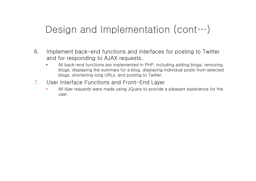# Design and Implementation (cont...)

- 6. Implement back-end functions and interfaces for posting to Twitter and for responding to AJAX requests.
	- All back-end functions are implemented in PHP, including adding blogs, removing blogs, displaying the summary for a blog, displaying individual posts from selected blogs, shortening long URLs, and posting to Twitter.
- 7. User Interface Functions and Front-End Layer
	- All Ajax requests were made using JQuery to provide a pleasant experience for the user.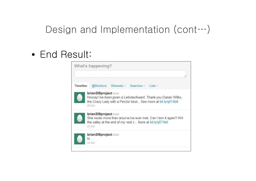# Design and Implementation (cont…)

### • End Result:

|          | What's happening?                                                                                                                                                   |
|----------|---------------------------------------------------------------------------------------------------------------------------------------------------------------------|
| Timeline | @Mentions Retweets Searches Lists                                                                                                                                   |
|          | brian298project brian<br>Hooray! Ive been given a LiebsterAward. Thank you Darian Wilks.<br>the Crazy Lady with a Pen, for best See more at bit.ly/q5T4b6<br>25 Oct |
|          | brian298project brian<br>She reads more than anyone Ive ever met. Can I don it again? Will<br>the valley at the end of my next c More at bit.ly/q5T4b6<br>23 Oct    |
|          | brian298project brian<br>hi<br>23 Oct                                                                                                                               |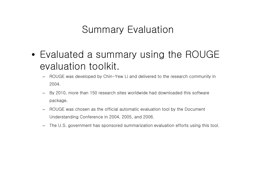# Summary Evaluation

- Evaluated a summary using the ROUGE evaluation toolkit.
	- ROUGE was developed by Chin-Yew Li and delivered to the research community in 2004.
	- By 2010, more than 150 research sites worldwide had downloaded this software package.
	- ROUGE was chosen as the official automatic evaluation tool by the Document Understanding Conference in 2004, 2005, and 2006.
	- The U.S. government has sponsored summarization evaluation efforts using this tool.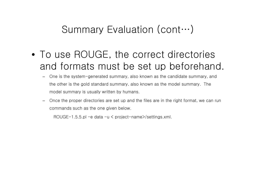- To use ROUGE, the correct directories and formats must be set up beforehand.
	- One is the system-generated summary, also known as the candidate summary, and the other is the gold standard summary, also known as the model summary. The model summary is usually written by humans.
	- Once the proper directories are set up and the files are in the right format, we can run commands such as the one given below.

ROUGE-1.5.5.pl -e data -u < project-name>/settings.xml.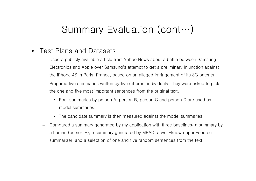- Test Plans and Datasets
	- Used a publicly available article from Yahoo News about a battle between Samsung Electronics and Apple over Samsung's attempt to get a preliminary injunction against the iPhone 4S in Paris, France, based on an alleged infringement of its 3G patents.
	- Prepared five summaries written by five different individuals. They were asked to pick the one and five most important sentences from the original text.
		- Four summaries by person A, person B, person C and person D are used as model summaries.
		- The candidate summary is then measured against the model summaries.
	- Compared a summary generated by my application with three baselines: a summary by a human (person E), a summary generated by MEAD, a well-known open-source summarizer, and a selection of one and five random sentences from the text.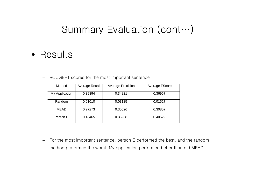#### • Results

– ROUGE-1 scores for the most important sentence

| Method         | Average Recall | <b>Average Precision</b> | Average FScore |
|----------------|----------------|--------------------------|----------------|
| My Application | 0.39394        | 0.34821                  | 0.36967        |
| Random         | 0.01010        | 0.03125                  | 0.01527        |
| <b>MEAD</b>    | 0.27273        | 0.35526                  | 0.30857        |
| Person E       | 0.46465        | 0.35938                  | 0.40529        |

– For the most important sentence, person E performed the best, and the random method performed the worst. My application performed better than did MEAD.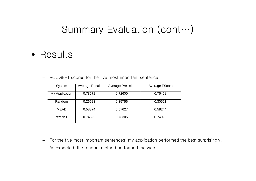#### • Results

– ROUGE-1 scores for the five most important sentence

| System         | Average Recall | <b>Average Precision</b> | Average FScore |
|----------------|----------------|--------------------------|----------------|
| My Application | 0.78571        | 0.72600                  | 0.75468        |
| Random         | 0.26623        | 0.35756                  | 0.30521        |
| <b>MEAD</b>    | 0.58874        | 0.57627                  | 0.58244        |
| Person E       | 0.74892        | 0.73305                  | 0.74090        |

– For the five most important sentences, my application performed the best surprisingly. As expected, the random method performed the worst.